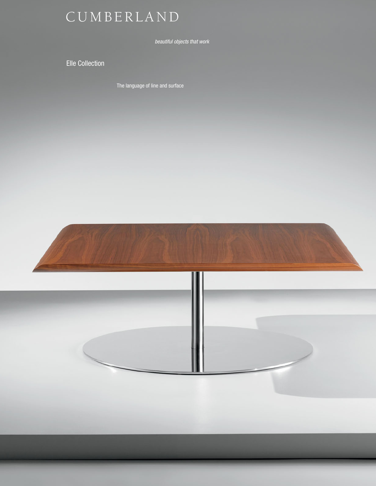## C U M B E R L A N D

*beautiful objects that work*

Elle Collection

The language of line and surface